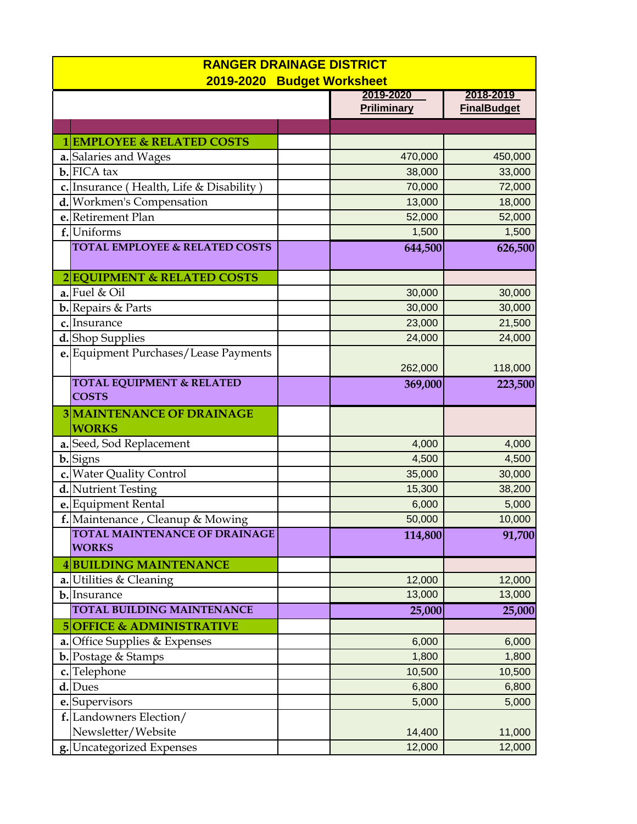| <b>RANGER DRAINAGE DISTRICT</b> |                                                      |                                          |  |  |
|---------------------------------|------------------------------------------------------|------------------------------------------|--|--|
| 2019-2020 Budget Worksheet      |                                                      |                                          |  |  |
|                                 |                                                      | 2019-2020<br>2018-2019                   |  |  |
|                                 |                                                      | <b>Priliminary</b><br><b>FinalBudget</b> |  |  |
|                                 |                                                      |                                          |  |  |
|                                 | 1 EMPLOYEE & RELATED COSTS                           |                                          |  |  |
|                                 | a. Salaries and Wages                                | 470,000<br>450,000                       |  |  |
|                                 | $b$ . FICA tax                                       | 38,000<br>33,000                         |  |  |
|                                 | c. Insurance (Health, Life & Disability)             | 70,000<br>72,000                         |  |  |
|                                 | d. Workmen's Compensation                            | 13,000<br>18,000                         |  |  |
|                                 | e.Retirement Plan                                    | 52,000<br>52,000                         |  |  |
|                                 | f.Uniforms                                           | 1,500<br>1,500                           |  |  |
|                                 | <b>TOTAL EMPLOYEE &amp; RELATED COSTS</b>            | 644,500<br>626,500                       |  |  |
|                                 | 2EQUIPMENT & RELATED COSTS                           |                                          |  |  |
|                                 | $a$ . Fuel & Oil                                     | 30,000<br>30,000                         |  |  |
|                                 | <b>b.</b> Repairs & Parts                            | 30,000<br>30,000                         |  |  |
|                                 | c. Insurance                                         | 23,000<br>21,500                         |  |  |
|                                 | d. Shop Supplies                                     | 24,000<br>24,000                         |  |  |
|                                 | e. Equipment Purchases/Lease Payments                | 262,000<br>118,000                       |  |  |
|                                 | <b>TOTAL EQUIPMENT &amp; RELATED</b><br><b>COSTS</b> | 369,000<br>223,500                       |  |  |
|                                 | <b>3 MAINTENANCE OF DRAINAGE</b><br><b>WORKS</b>     |                                          |  |  |
|                                 | a. Seed, Sod Replacement                             | 4,000<br>4,000                           |  |  |
|                                 | b. Signs                                             | 4,500<br>4,500                           |  |  |
|                                 | c. Water Quality Control                             | 35,000<br>30,000                         |  |  |
|                                 | d. Nutrient Testing                                  | 15,300<br>38,200                         |  |  |
|                                 | e. Equipment Rental                                  | 5,000<br>6,000                           |  |  |
|                                 | f. Maintenance, Cleanup & Mowing                     | 50,000<br>10,000                         |  |  |
|                                 | <b>TOTAL MAINTENANCE OF DRAINAGE</b><br><b>WORKS</b> | 91,700<br>114,800                        |  |  |
|                                 | <b>4BUILDING MAINTENANCE</b>                         |                                          |  |  |
|                                 | a. Utilities & Cleaning                              | 12,000<br>12,000                         |  |  |
|                                 | b. Insurance                                         | 13,000<br>13,000                         |  |  |
|                                 | TOTAL BUILDING MAINTENANCE                           | 25,000<br>25,000                         |  |  |
|                                 | <b>5 OFFICE &amp; ADMINISTRATIVE</b>                 |                                          |  |  |
|                                 | a. Office Supplies & Expenses                        | 6,000<br>6,000                           |  |  |
|                                 | <b>b.</b> Postage & Stamps                           | 1,800<br>1,800                           |  |  |
|                                 | c. Telephone                                         | 10,500<br>10,500                         |  |  |
|                                 | d. Dues                                              | 6,800<br>6,800                           |  |  |
|                                 | e. Supervisors                                       | 5,000<br>5,000                           |  |  |
|                                 | f. Landowners Election/                              |                                          |  |  |
|                                 | Newsletter/Website                                   | 14,400<br>11,000                         |  |  |
|                                 | g. Uncategorized Expenses                            | 12,000<br>12,000                         |  |  |
|                                 |                                                      |                                          |  |  |